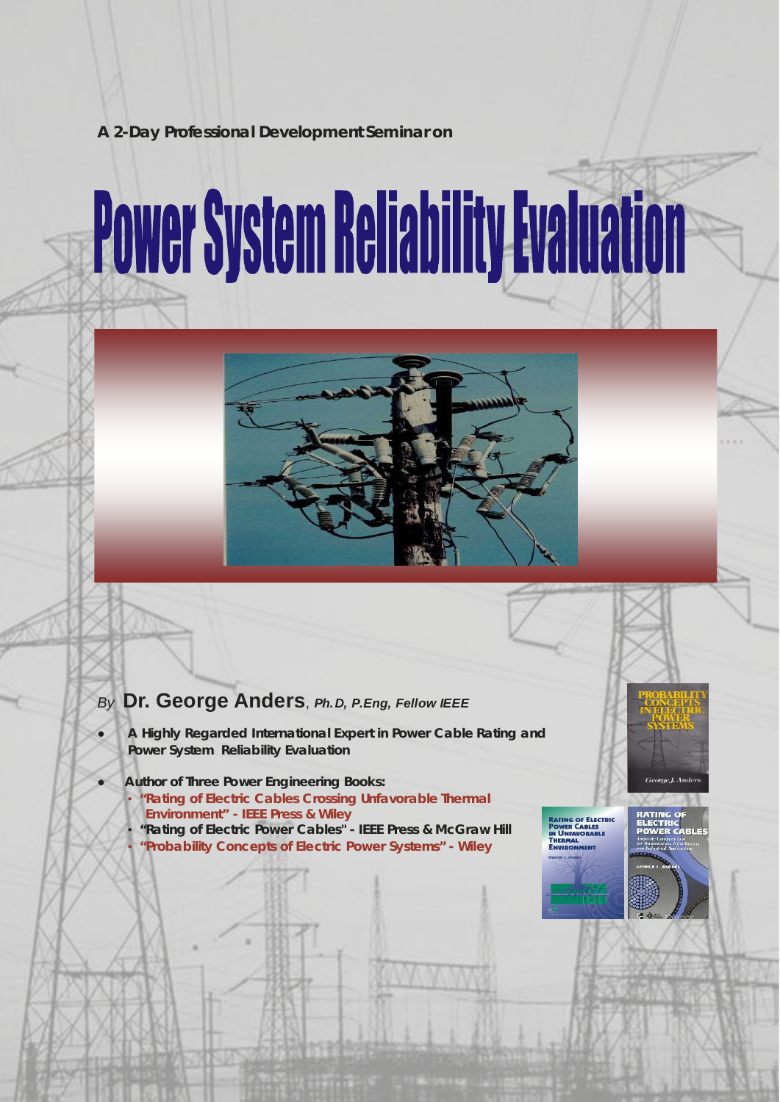# **A 2-Day Professional Development Seminar on**

# **Power System Reliability Evaluation**



# *By* **Dr. George Anders**, *Ph.D, P.Eng, Fellow IEEE*

- *● A Highly Regarded International Expert in Power Cable Rating and Power System Reliability Evaluation*
- *● Author of Three Power Engineering Books: Rating of Electric Cables Crossing Unfavorable Thermal* 
	- *Environment" IEEE Press & Wiley*
	- *▪ "Rating of Electric Power Cables" IEEE Press & McGraw Hill ▪ "Probability Concepts of Electric Power Systems" - Wiley*





ŭ۲

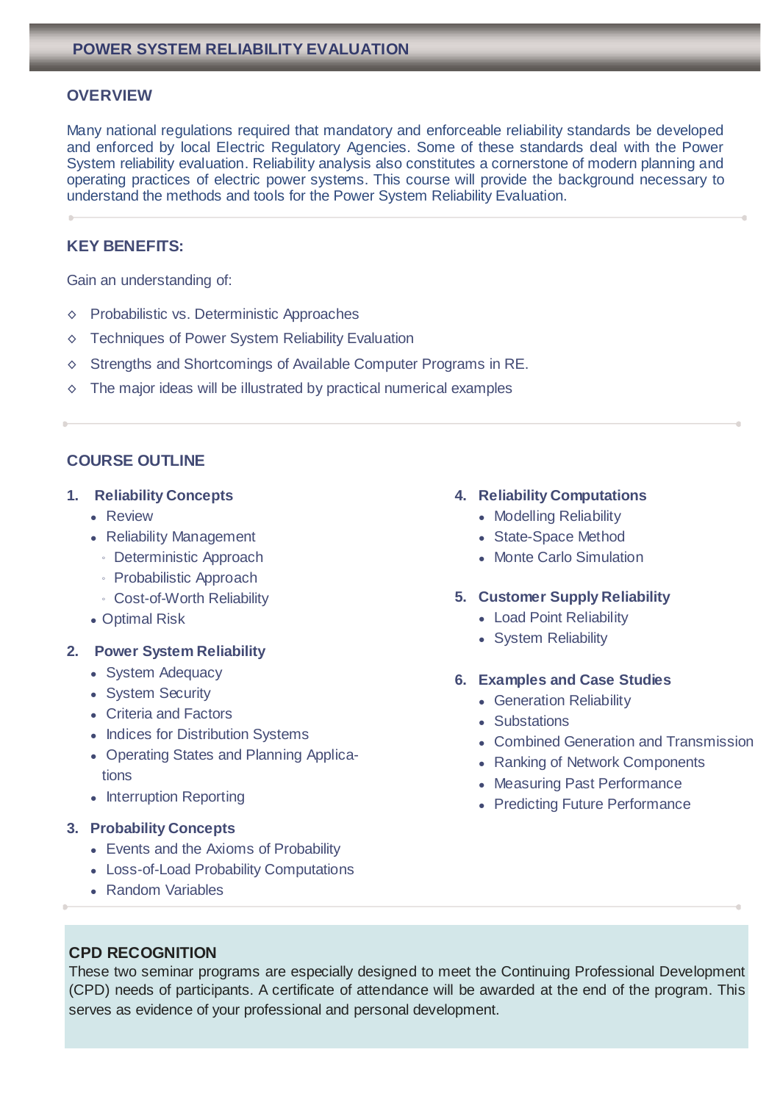# **OVERVIEW**

Many national regulations required that mandatory and enforceable reliability standards be developed and enforced by local Electric Regulatory Agencies. Some of these standards deal with the Power System reliability evaluation. Reliability analysis also constitutes a cornerstone of modern planning and operating practices of electric power systems. This course will provide the background necessary to understand the methods and tools for the Power System Reliability Evaluation.

# **KEY BENEFITS:**

Gain an understanding of:

- ◊ Probabilistic vs. Deterministic Approaches
- ◊ Techniques of Power System Reliability Evaluation
- ◊ Strengths and Shortcomings of Available Computer Programs in RE.
- $\diamond$  The major ideas will be illustrated by practical numerical examples

# **COURSE OUTLINE**

- **1. Reliability Concepts**
	- Review
	- Reliability Management
		- Deterministic Approach
		- Probabilistic Approach
		- Cost-of-Worth Reliability
	- Optimal Risk

#### **2. Power System Reliability**

- System Adequacy
- System Security
- Criteria and Factors
- Indices for Distribution Systems
- Operating States and Planning Applications
- Interruption Reporting

#### **3. Probability Concepts**

- Events and the Axioms of Probability
- Loss-of-Load Probability Computations
- Random Variables

#### **4. Reliability Computations**

- Modelling Reliability
- State-Space Method
- Monte Carlo Simulation

#### **5. Customer Supply Reliability**

- Load Point Reliability
- System Reliability

#### **6. Examples and Case Studies**

- Generation Reliability
- Substations
- Combined Generation and Transmission
- Ranking of Network Components
- Measuring Past Performance
- Predicting Future Performance

## **CPD RECOGNITION**

These two seminar programs are especially designed to meet the Continuing Professional Development (CPD) needs of participants. A certificate of attendance will be awarded at the end of the program. This serves as evidence of your professional and personal development.